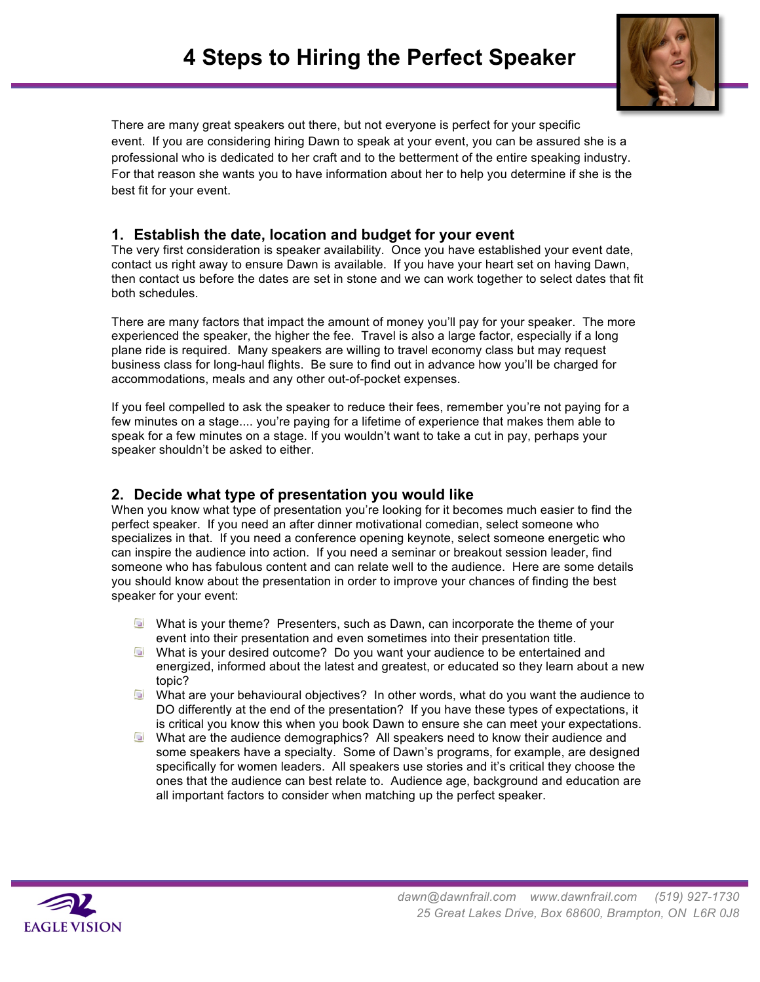

There are many great speakers out there, but not everyone is perfect for your specific event. If you are considering hiring Dawn to speak at your event, you can be assured she is a professional who is dedicated to her craft and to the betterment of the entire speaking industry. For that reason she wants you to have information about her to help you determine if she is the best fit for your event.

## **1. Establish the date, location and budget for your event**

The very first consideration is speaker availability. Once you have established your event date, contact us right away to ensure Dawn is available. If you have your heart set on having Dawn, then contact us before the dates are set in stone and we can work together to select dates that fit both schedules.

There are many factors that impact the amount of money you'll pay for your speaker. The more experienced the speaker, the higher the fee. Travel is also a large factor, especially if a long plane ride is required. Many speakers are willing to travel economy class but may request business class for long-haul flights. Be sure to find out in advance how you'll be charged for accommodations, meals and any other out-of-pocket expenses.

If you feel compelled to ask the speaker to reduce their fees, remember you're not paying for a few minutes on a stage.... you're paying for a lifetime of experience that makes them able to speak for a few minutes on a stage. If you wouldn't want to take a cut in pay, perhaps your speaker shouldn't be asked to either.

## **2. Decide what type of presentation you would like**

When you know what type of presentation you're looking for it becomes much easier to find the perfect speaker. If you need an after dinner motivational comedian, select someone who specializes in that. If you need a conference opening keynote, select someone energetic who can inspire the audience into action. If you need a seminar or breakout session leader, find someone who has fabulous content and can relate well to the audience. Here are some details you should know about the presentation in order to improve your chances of finding the best speaker for your event:

- What is your theme? Presenters, such as Dawn, can incorporate the theme of your event into their presentation and even sometimes into their presentation title.
- What is your desired outcome? Do you want your audience to be entertained and energized, informed about the latest and greatest, or educated so they learn about a new topic?
- What are your behavioural objectives? In other words, what do you want the audience to DO differently at the end of the presentation? If you have these types of expectations, it is critical you know this when you book Dawn to ensure she can meet your expectations.
- What are the audience demographics? All speakers need to know their audience and some speakers have a specialty. Some of Dawn's programs, for example, are designed specifically for women leaders. All speakers use stories and it's critical they choose the ones that the audience can best relate to. Audience age, background and education are all important factors to consider when matching up the perfect speaker.